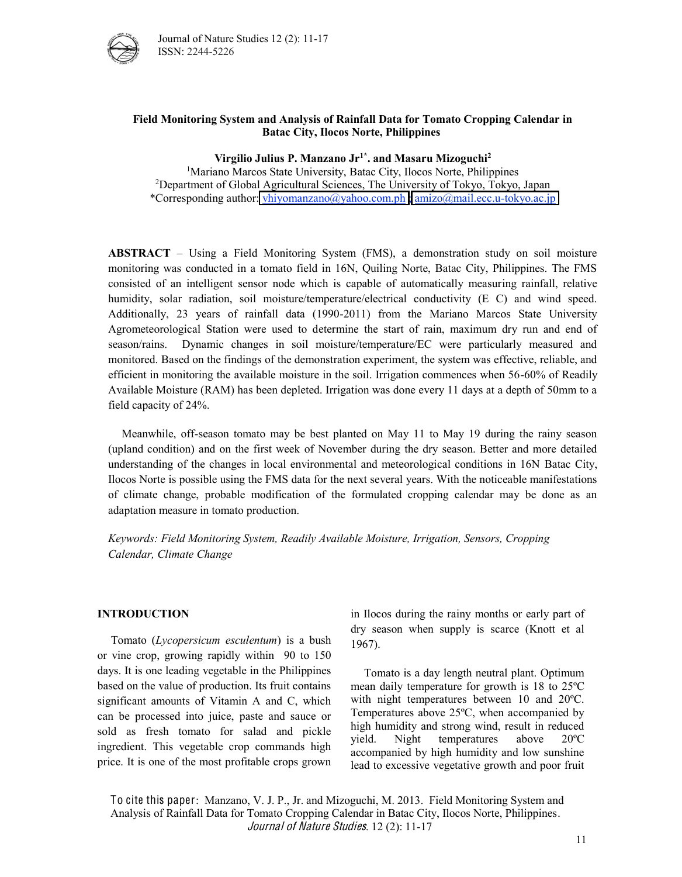

#### Field Monitoring System and Analysis of Rainfall Data for Tomato Cropping Calendar in **Batac)City,)Ilocos)Norte,)Philippines**

Virgilio Julius P. Manzano Jr<sup>1\*</sup>. and Masaru Mizoguchi<sup>2</sup>

<sup>1</sup>Mariano Marcos State University, Batac City, Ilocos Norte, Philippines 2 Department of Global Agricultural Sciences, The University of Tokyo, Tokyo, Japan \*Corresponding author: [vhiyomanzano@yahoo.com.ph](mailto:vhiyomanzano@yahoo.com.ph) [; amizo@mail.ecc.u-tokyo.ac.jp](mailto:amizo@mail.ecc.u-tokyo.ac.jp)

**ABSTRACT** – Using a Field Monitoring System (FMS), a demonstration study on soil moisture monitoring was conducted in a tomato field in 16N, Quiling Norte, Batac City, Philippines. The FMS consisted of an intelligent sensor node which is capable of automatically measuring rainfall, relative humidity, solar radiation, soil moisture/temperature/electrical conductivity (E C) and wind speed. Additionally, 23 years of rainfall data (1990-2011) from the Mariano Marcos State University Agrometeorological Station were used to determine the start of rain, maximum dry run and end of season/rains. Dynamic changes in soil moisture/temperature/EC were particularly measured and monitored. Based on the findings of the demonstration experiment, the system was effective, reliable, and efficient in monitoring the available moisture in the soil. Irrigation commences when 56-60% of Readily Available Moisture (RAM) has been depleted. Irrigation was done every 11 days at a depth of 50mm to a field capacity of 24%.

Meanwhile, off-season tomato may be best planted on May 11 to May 19 during the rainy season (upland condition) and on the first week of November during the dry season. Better and more detailed understanding of the changes in local environmental and meteorological conditions in 16N Batac City, Ilocos Norte is possible using the FMS data for the next several years. With the noticeable manifestations of climate change, probable modification of the formulated cropping calendar may be done as an adaptation measure in tomato production.

*Keywords:,Field,Monitoring,System,,Readily,Available,Moisture,,Irrigation,,Sensors,,Cropping, Calendar,,Climate,Change*

#### **INTRODUCTION**

Tomato (*Lycopersicum, esculentum*) is a bush or vine crop, growing rapidly within 90 to 150 days. It is one leading vegetable in the Philippines based on the value of production. Its fruit contains significant amounts of Vitamin A and C, which can be processed into juice, paste and sauce or sold as fresh tomato for salad and pickle ingredient. This vegetable crop commands high price. It is one of the most profitable crops grown in Ilocos during the rainy months or early part of dry season when supply is scarce (Knott et al 1967).

Tomato is a day length neutral plant. Optimum mean daily temperature for growth is 18 to 25ºC with night temperatures between 10 and 20ºC. Temperatures above 25ºC, when accompanied by high humidity and strong wind, result in reduced yield. Night temperatures above 20ºC accompanied by high humidity and low sunshine lead to excessive vegetative growth and poor fruit

To cite this paper: Manzano, V. J. P., Jr. and Mizoguchi, M. 2013. Field Monitoring System and Analysis of Rainfall Data for Tomato Cropping Calendar in Batac City, Ilocos Norte, Philippines. Journal of Nature Studies. 12 (2): 11-17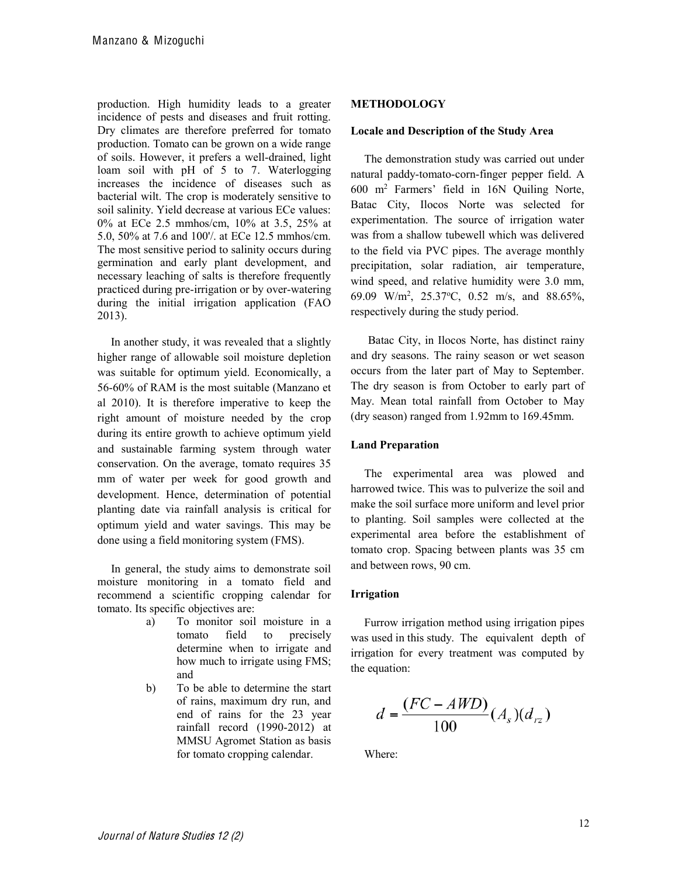production. High humidity leads to a greater incidence of pests and diseases and fruit rotting. Dry climates are therefore preferred for tomato production. Tomato can be grown on a wide range of soils. However, it prefers a well-drained, light loam soil with pH of 5 to 7. Waterlogging increases the incidence of diseases such as bacterial wilt. The crop is moderately sensitive to soil salinity. Yield decrease at various ECe values: 0% at ECe 2.5 mmhos/cm, 10% at 3.5, 25% at 5.0, 50% at 7.6 and 100'/. at ECe 12.5 mmhos/cm. The most sensitive period to salinity occurs during germination and early plant development, and necessary leaching of salts is therefore frequently practiced during pre-irrigation or by over-watering during the initial irrigation application (FAO 2013).

In another study, it was revealed that a slightly higher range of allowable soil moisture depletion was suitable for optimum yield. Economically, a 56-60% of RAM is the most suitable (Manzano et al 2010). It is therefore imperative to keep the right amount of moisture needed by the crop during its entire growth to achieve optimum yield and sustainable farming system through water conservation. On the average, tomato requires 35 mm of water per week for good growth and development. Hence, determination of potential planting date via rainfall analysis is critical for optimum yield and water savings. This may be done using a field monitoring system (FMS).

In general, the study aims to demonstrate soil moisture monitoring in a tomato field and recommend a scientific cropping calendar for tomato. Its specific objectives are:

- a) To monitor soil moisture in a tomato field to precisely determine when to irrigate and how much to irrigate using FMS: and
- b) To be able to determine the start of rains, maximum dry run, and end of rains for the 23 year rainfall record (1990-2012) at MMSU Agromet Station as basis for tomato cropping calendar.

## **METHODOLOGY**

#### Locale and Description of the Study Area

The demonstration study was carried out under natural paddy-tomato-corn-finger pepper field. A  $600$  m<sup>2</sup> Farmers' field in  $16N$  Quiling Norte, Batac City, Ilocos Norte was selected for experimentation. The source of irrigation water was from a shallow tubewell which was delivered to the field via PVC pipes. The average monthly precipitation, solar radiation, air temperature, wind speed, and relative humidity were 3.0 mm, 69.09 W/m<sup>2</sup>, 25.37°C, 0.52 m/s, and 88.65%, respectively during the study period.

 Batac City, in Ilocos Norte, has distinct rainy and dry seasons. The rainy season or wet season occurs from the later part of May to September. The dry season is from October to early part of May. Mean total rainfall from October to May (dry season) ranged from 1.92mm to 169.45mm.

#### **Land)Preparation**

The experimental area was plowed and harrowed twice. This was to pulverize the soil and make the soil surface more uniform and level prior to planting. Soil samples were collected at the experimental area before the establishment of tomato crop. Spacing between plants was 35 cm and between rows, 90 cm.

## **Irrigation**

Furrow irrigation method using irrigation pipes was used in this study. The equivalent depth of irrigation for every treatment was computed by the equation:

$$
d = \frac{(FC - AWD)}{100} (A_s)(d_{rz})
$$

Where: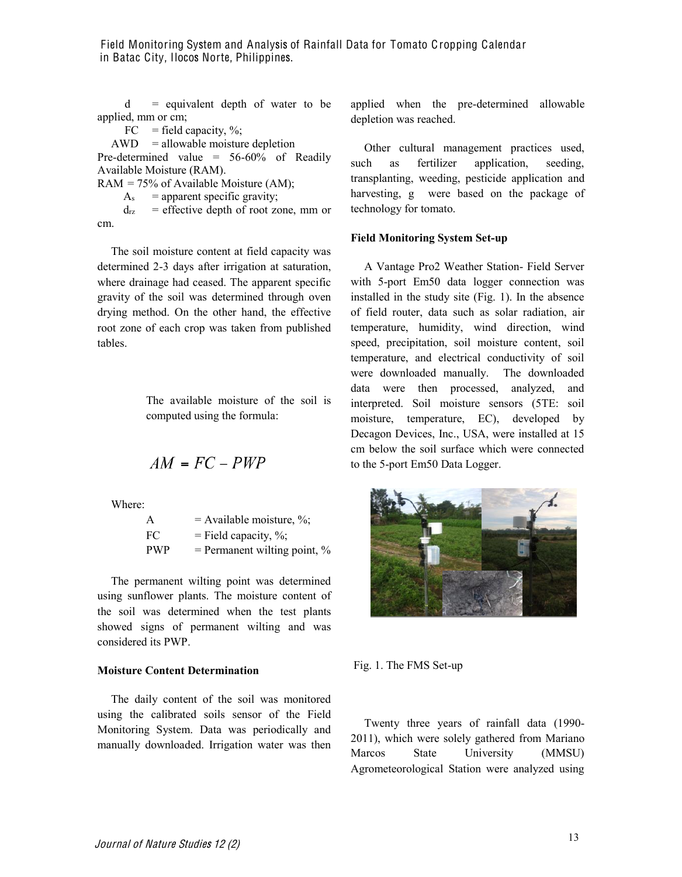Field Monitoring System and Analysis of Rainfall Data for Tomato Cropping Calendar in Batac City, Ilocos Norte, Philippines.

 $d =$  equivalent depth of water to be applied, mm or cm;

 $FC = field capacity, %$ 

 $AWD =$ allowable moisture depletion Pre-determined value = 56-60% of Readily

Available Moisture (RAM).

 $RAM = 75\%$  of Available Moisture (AM);

 $A_s$  = apparent specific gravity;

 $d_{\text{rz}}$  = effective depth of root zone, mm or cm.

The soil moisture content at field capacity was determined 2-3 days after irrigation at saturation, where drainage had ceased. The apparent specific gravity of the soil was determined through oven drying method. On the other hand, the effective root zone of each crop was taken from published tables.

> The available moisture of the soil is computed using the formula:

$$
AM = FC - PWP
$$

Where:

| A          | $=$ Available moisture, %;     |
|------------|--------------------------------|
| FC         | $=$ Field capacity, %;         |
| <b>PWP</b> | $=$ Permanent wilting point, % |

The permanent wilting point was determined using sunflower plants. The moisture content of the soil was determined when the test plants showed signs of permanent wilting and was considered its PWP.

## **Moisture Content Determination**

The daily content of the soil was monitored using the calibrated soils sensor of the Field Monitoring System. Data was periodically and manually downloaded. Irrigation water was then applied when the pre-determined allowable depletion was reached.

Other cultural management practices used, such as fertilizer application, seeding, transplanting, weeding, pesticide application and harvesting, g were based on the package of technology for tomato.

#### **Field Monitoring System Set-up**

A Vantage Pro2 Weather Station- Field Server with 5-port Em50 data logger connection was installed in the study site (Fig. 1). In the absence of field router, data such as solar radiation, air temperature, humidity, wind direction, wind speed, precipitation, soil moisture content, soil temperature, and electrical conductivity of soil were downloaded manually. The downloaded data were then processed, analyzed, and interpreted. Soil moisture sensors (5TE: soil moisture, temperature, EC), developed by Decagon Devices, Inc., USA, were installed at 15 cm below the soil surface which were connected to the 5-port Em50 Data Logger.



Fig. 1. The FMS Set-up

Twenty three years of rainfall data (1990- 2011), which were solely gathered from Mariano Marcos State University (MMSU) Agrometeorological Station were analyzed using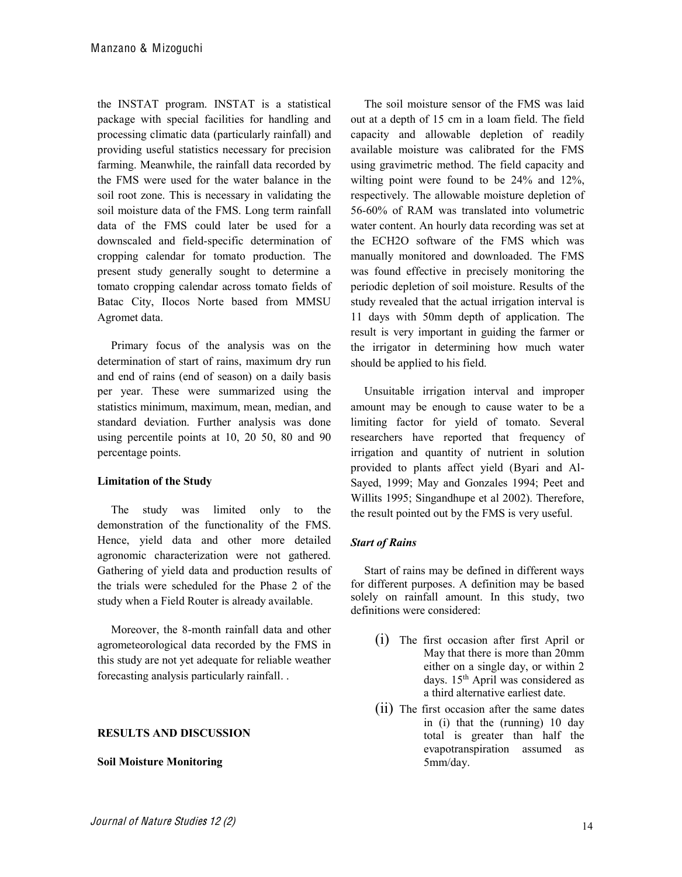the INSTAT program. INSTAT is a statistical package with special facilities for handling and processing climatic data (particularly rainfall) and providing useful statistics necessary for precision farming. Meanwhile, the rainfall data recorded by the FMS were used for the water balance in the soil root zone. This is necessary in validating the soil moisture data of the FMS. Long term rainfall data of the FMS could later be used for a downscaled and field-specific determination of cropping calendar for tomato production. The present study generally sought to determine a tomato cropping calendar across tomato fields of Batac City, Ilocos Norte based from MMSU Agromet data.

Primary focus of the analysis was on the determination of start of rains, maximum dry run and end of rains (end of season) on a daily basis per year. These were summarized using the statistics minimum, maximum, mean, median, and standard deviation. Further analysis was done using percentile points at 10, 20 50, 80 and 90 percentage points.

## **Limitation of the Study**

The study was limited only to the demonstration of the functionality of the FMS. Hence, yield data and other more detailed agronomic characterization were not gathered. Gathering of yield data and production results of the trials were scheduled for the Phase 2 of the study when a Field Router is already available.

Moreover, the 8-month rainfall data and other agrometeorological data recorded by the FMS in this study are not yet adequate for reliable weather forecasting analysis particularly rainfall. .

## **RESULTS)AND)DISCUSSION**

## **Soil)Moisture)Monitoring**

The soil moisture sensor of the FMS was laid out at a depth of 15 cm in a loam field. The field capacity and allowable depletion of readily available moisture was calibrated for the FMS using gravimetric method. The field capacity and wilting point were found to be 24% and 12%, respectively. The allowable moisture depletion of 56-60% of RAM was translated into volumetric water content. An hourly data recording was set at the ECH2O software of the FMS which was manually monitored and downloaded. The FMS was found effective in precisely monitoring the periodic depletion of soil moisture. Results of the study revealed that the actual irrigation interval is 11 days with 50mm depth of application. The result is very important in guiding the farmer or the irrigator in determining how much water should be applied to his field.

Unsuitable irrigation interval and improper amount may be enough to cause water to be a limiting factor for yield of tomato. Several researchers have reported that frequency of irrigation and quantity of nutrient in solution provided to plants affect yield (Byari and Al-Sayed, 1999; May and Gonzales 1994; Peet and Willits 1995; Singandhupe et al 2002). Therefore, the result pointed out by the FMS is very useful.

## *Start of Rains*

Start of rains may be defined in different ways for different purposes. A definition may be based solely on rainfall amount. In this study, two definitions were considered:

- (i) The first occasion after first April or May that there is more than 20mm either on a single day, or within 2 days. 15th April was considered as a third alternative earliest date.
- (ii) The first occasion after the same dates in (i) that the (running) 10 day total is greater than half the evapotranspiration assumed as 5mm/day.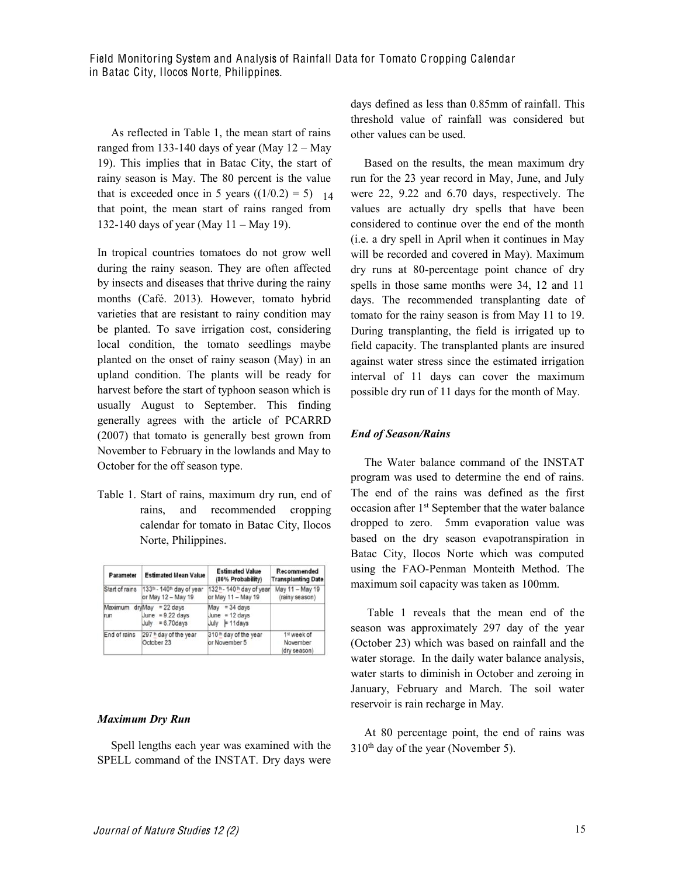Field Monitoring System and Analysis of Rainfall Data for Tomato Cropping Calendar in Batac City, Ilocos Norte, Philippines.

As reflected in Table 1, the mean start of rains ranged from 133-140 days of year (May  $12 -$ May 19). This implies that in Batac City, the start of rainy season is May. The 80 percent is the value that is exceeded once in 5 years  $((1/0.2) = 5)$ . 14 that point, the mean start of rains ranged from 132-140 days of year (May  $11 -$ May 19).

In tropical countries tomatoes do not grow well during the rainy season. They are often affected by insects and diseases that thrive during the rainy months (Café. 2013). However, tomato hybrid varieties that are resistant to rainy condition may be planted. To save irrigation cost, considering local condition, the tomato seedlings maybe planted on the onset of rainy season (May) in an upland condition. The plants will be ready for harvest before the start of typhoon season which is usually August to September. This finding generally agrees with the article of PCARRD (2007) that tomato is generally best grown from November to February in the lowlands and May to October for the off season type.

Table 1. Start of rains, maximum dry run, end of rains, and recommended cropping calendar for tomato in Batac City, Ilocos Norte, Philippines.

| Parameter      | <b>Estimated Mean Value</b>                                             | <b>Estimated Value</b><br>(80% Probability)                           | Recommended<br><b>Transplanting Date</b> |
|----------------|-------------------------------------------------------------------------|-----------------------------------------------------------------------|------------------------------------------|
| Start of rains | 133 <sup>th</sup> - 140 <sup>th</sup> day of year<br>or May 12 - May 19 | 132 <sup>n</sup> - 140 <sup>n</sup> day of year<br>or May 11 - May 19 | May 11 - May 19<br>(rainy season)        |
| Maximum<br>run | $d$ rvMay = 22 days<br>June = $9.22$ days<br>July = $6.70$ days         | $= 34$ days<br>May<br>June = $12 \text{ days}$<br>$July \tF11davs$    |                                          |
| End of rains   | 297 <sup>th</sup> day of the year<br>October 23                         | 310 <sup>th</sup> day of the year<br>or November 5                    | 1st week of<br>November<br>(dry season)  |

#### *Maximum%Dry%Run*

Spell lengths each year was examined with the SPELL command of the INSTAT. Dry days were days defined as less than 0.85mm of rainfall. This threshold value of rainfall was considered but other values can be used.

Based on the results, the mean maximum dry run for the 23 year record in May, June, and July were 22, 9.22 and 6.70 days, respectively. The values are actually dry spells that have been considered to continue over the end of the month (i.e. a dry spell in April when it continues in May will be recorded and covered in May). Maximum dry runs at 80-percentage point chance of dry spells in those same months were 34, 12 and 11 days. The recommended transplanting date of tomato for the rainy season is from May 11 to 19. During transplanting, the field is irrigated up to field capacity. The transplanted plants are insured against water stress since the estimated irrigation interval of 11 days can cover the maximum possible dry run of 11 days for the month of May.

#### *End%of%Season/Rains*

The Water balance command of the INSTAT program was used to determine the end of rains. The end of the rains was defined as the first occasion after 1st September that the water balance dropped to zero. 5mm evaporation value was based on the dry season evapotranspiration in Batac City, Ilocos Norte which was computed using the FAO-Penman Monteith Method. The maximum soil capacity was taken as 100mm.

Table 1 reveals that the mean end of the season was approximately 297 day of the year (October 23) which was based on rainfall and the water storage. In the daily water balance analysis, water starts to diminish in October and zeroing in January, February and March. The soil water reservoir is rain recharge in May.

At 80 percentage point, the end of rains was  $310<sup>th</sup>$  day of the year (November 5).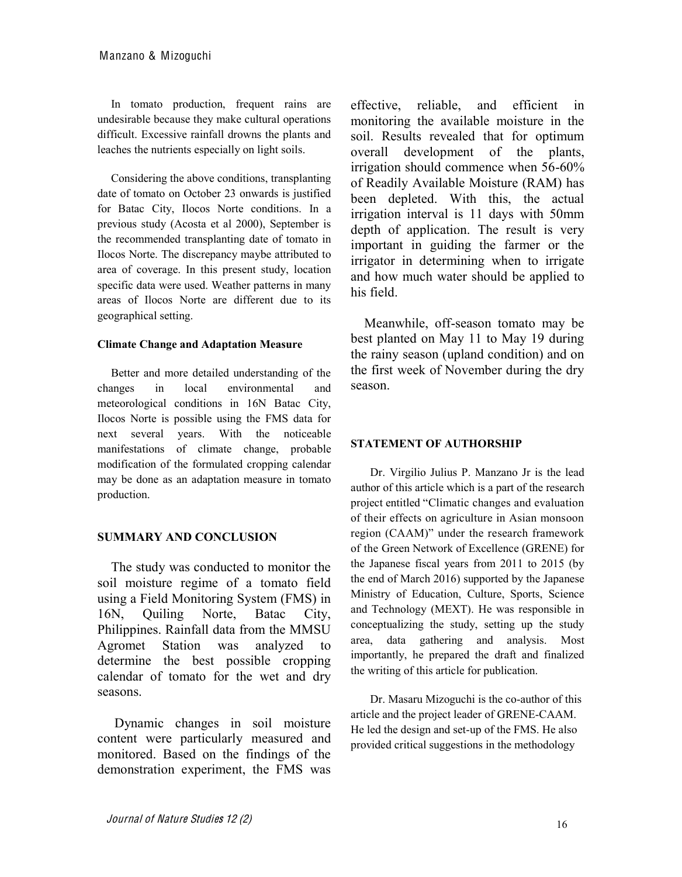In tomato production, frequent rains are undesirable because they make cultural operations difficult. Excessive rainfall drowns the plants and leaches the nutrients especially on light soils.

Considering the above conditions, transplanting date of tomato on October 23 onwards is justified for Batac City, Ilocos Norte conditions. In a previous study (Acosta et al 2000), September is the recommended transplanting date of tomato in Ilocos Norte. The discrepancy maybe attributed to area of coverage. In this present study, location specific data were used. Weather patterns in many areas of Ilocos Norte are different due to its geographical setting.

## **Climate Change)and)Adaptation)Measure**

Better and more detailed understanding of the changes in local environmental and meteorological conditions in 16N Batac City, Ilocos Norte is possible using the FMS data for next several years. With the noticeable manifestations of climate change, probable modification of the formulated cropping calendar may be done as an adaptation measure in tomato production.

# **SUMMARY)AND)CONCLUSION**

The study was conducted to monitor the soil moisture regime of a tomato field using a Field Monitoring System (FMS) in 16N, Quiling Norte, Batac City, Philippines. Rainfall data from the MMSU Agromet Station was analyzed to determine the best possible cropping calendar of tomato for the wet and dry seasons.

Dynamic changes in soil moisture content were particularly measured and monitored. Based on the findings of the demonstration experiment, the FMS was

effective, reliable, and efficient in monitoring the available moisture in the soil. Results revealed that for optimum overall development of the plants, irrigation should commence when 56-60% of Readily Available Moisture (RAM) has been depleted. With this, the actual irrigation interval is 11 days with 50mm depth of application. The result is very important in guiding the farmer or the irrigator in determining when to irrigate and how much water should be applied to his field.

Meanwhile, off-season tomato may be best planted on May 11 to May 19 during the rainy season (upland condition) and on the first week of November during the dry season.

# **STATEMENT OF AUTHORSHIP**

Dr. Virgilio Julius P. Manzano Jr is the lead author of this article which is a part of the research project entitled "Climatic changes and evaluation of their effects on agriculture in Asian monsoon region (CAAM)" under the research framework of the Green Network of Excellence (GRENE) for the Japanese fiscal years from 2011 to 2015 (by the end of March 2016) supported by the Japanese Ministry of Education, Culture, Sports, Science and Technology (MEXT). He was responsible in conceptualizing the study, setting up the study area, data gathering and analysis. Most importantly, he prepared the draft and finalized the writing of this article for publication.

Dr. Masaru Mizoguchi is the co-author of this article and the project leader of GRENE-CAAM. He led the design and set-up of the FMS. He also provided critical suggestions in the methodology